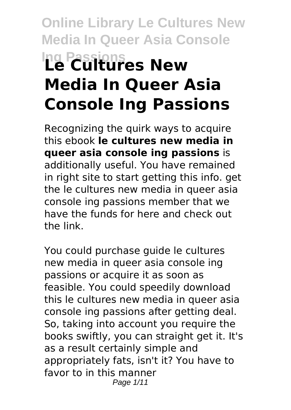# **Online Library Le Cultures New Media In Queer Asia Console Ing Passions Le Cultures New Media In Queer Asia Console Ing Passions**

Recognizing the quirk ways to acquire this ebook **le cultures new media in queer asia console ing passions** is additionally useful. You have remained in right site to start getting this info. get the le cultures new media in queer asia console ing passions member that we have the funds for here and check out the link.

You could purchase guide le cultures new media in queer asia console ing passions or acquire it as soon as feasible. You could speedily download this le cultures new media in queer asia console ing passions after getting deal. So, taking into account you require the books swiftly, you can straight get it. It's as a result certainly simple and appropriately fats, isn't it? You have to favor to in this manner Page 1/11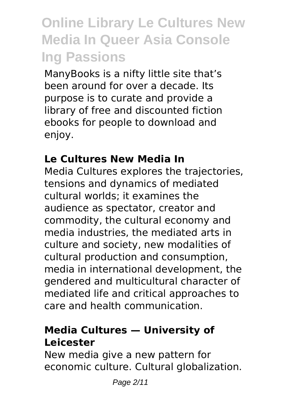ManyBooks is a nifty little site that's been around for over a decade. Its purpose is to curate and provide a library of free and discounted fiction ebooks for people to download and enjoy.

### **Le Cultures New Media In**

Media Cultures explores the trajectories, tensions and dynamics of mediated cultural worlds; it examines the audience as spectator, creator and commodity, the cultural economy and media industries, the mediated arts in culture and society, new modalities of cultural production and consumption, media in international development, the gendered and multicultural character of mediated life and critical approaches to care and health communication.

### **Media Cultures — University of Leicester**

New media give a new pattern for economic culture. Cultural globalization.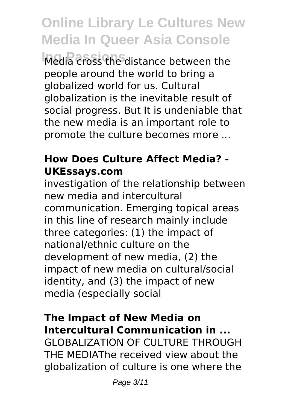**Ing Passions** Media cross the distance between the people around the world to bring a globalized world for us. Cultural globalization is the inevitable result of social progress. But It is undeniable that the new media is an important role to promote the culture becomes more ...

### **How Does Culture Affect Media? - UKEssays.com**

investigation of the relationship between new media and intercultural communication. Emerging topical areas in this line of research mainly include three categories: (1) the impact of national/ethnic culture on the development of new media, (2) the impact of new media on cultural/social identity, and (3) the impact of new media (especially social

### **The Impact of New Media on Intercultural Communication in ...**

GLOBALIZATION OF CULTURE THROUGH THE MEDIAThe received view about the globalization of culture is one where the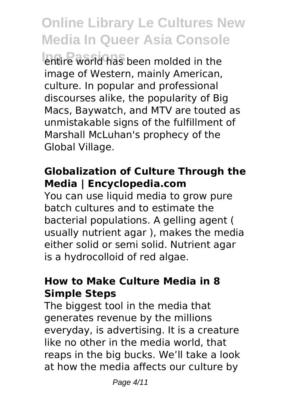*<u>Intire</u>* world has been molded in the image of Western, mainly American, culture. In popular and professional discourses alike, the popularity of Big Macs, Baywatch, and MTV are touted as unmistakable signs of the fulfillment of Marshall McLuhan's prophecy of the Global Village.

### **Globalization of Culture Through the Media | Encyclopedia.com**

You can use liquid media to grow pure batch cultures and to estimate the bacterial populations. A gelling agent ( usually nutrient agar ), makes the media either solid or semi solid. Nutrient agar is a hydrocolloid of red algae.

### **How to Make Culture Media in 8 Simple Steps**

The biggest tool in the media that generates revenue by the millions everyday, is advertising. It is a creature like no other in the media world, that reaps in the big bucks. We'll take a look at how the media affects our culture by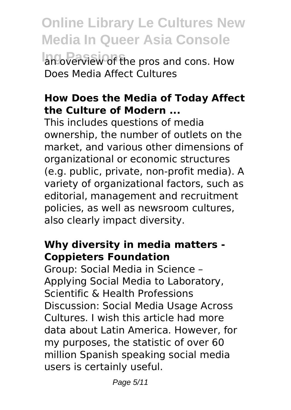**Online Library Le Cultures New Media In Queer Asia Console Infoverview of the pros and cons. How** Does Media Affect Cultures

#### **How Does the Media of Today Affect the Culture of Modern ...**

This includes questions of media ownership, the number of outlets on the market, and various other dimensions of organizational or economic structures (e.g. public, private, non-profit media). A variety of organizational factors, such as editorial, management and recruitment policies, as well as newsroom cultures, also clearly impact diversity.

#### **Why diversity in media matters - Coppieters Foundation**

Group: Social Media in Science – Applying Social Media to Laboratory, Scientific & Health Professions Discussion: Social Media Usage Across Cultures. I wish this article had more data about Latin America. However, for my purposes, the statistic of over 60 million Spanish speaking social media users is certainly useful.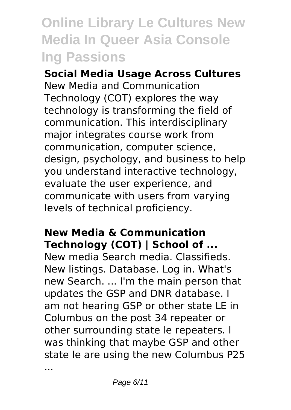**Social Media Usage Across Cultures** New Media and Communication Technology (COT) explores the way technology is transforming the field of communication. This interdisciplinary major integrates course work from communication, computer science, design, psychology, and business to help you understand interactive technology, evaluate the user experience, and communicate with users from varying levels of technical proficiency.

#### **New Media & Communication Technology (COT) | School of ...**

New media Search media. Classifieds. New listings. Database. Log in. What's new Search. ... I'm the main person that updates the GSP and DNR database. I am not hearing GSP or other state LE in Columbus on the post 34 repeater or other surrounding state le repeaters. I was thinking that maybe GSP and other state le are using the new Columbus P25

...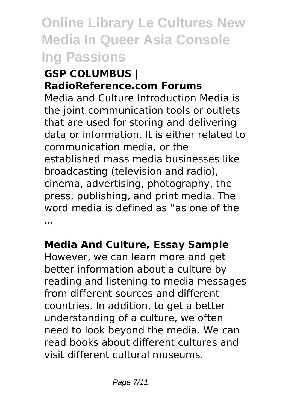#### **GSP COLUMBUS | RadioReference.com Forums**

Media and Culture Introduction Media is the joint communication tools or outlets that are used for storing and delivering data or information. It is either related to communication media, or the established mass media businesses like broadcasting (television and radio), cinema, advertising, photography, the press, publishing, and print media. The word media is defined as "as one of the ...

### **Media And Culture, Essay Sample**

However, we can learn more and get better information about a culture by reading and listening to media messages from different sources and different countries. In addition, to get a better understanding of a culture, we often need to look beyond the media. We can read books about different cultures and visit different cultural museums.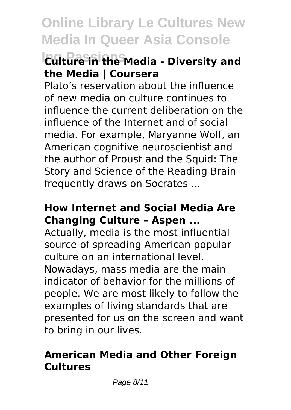### **Ing Passions Culture in the Media - Diversity and the Media | Coursera**

Plato's reservation about the influence of new media on culture continues to influence the current deliberation on the influence of the Internet and of social media. For example, Maryanne Wolf, an American cognitive neuroscientist and the author of Proust and the Squid: The Story and Science of the Reading Brain frequently draws on Socrates ...

### **How Internet and Social Media Are Changing Culture – Aspen ...**

Actually, media is the most influential source of spreading American popular culture on an international level. Nowadays, mass media are the main indicator of behavior for the millions of people. We are most likely to follow the examples of living standards that are presented for us on the screen and want to bring in our lives.

### **American Media and Other Foreign Cultures**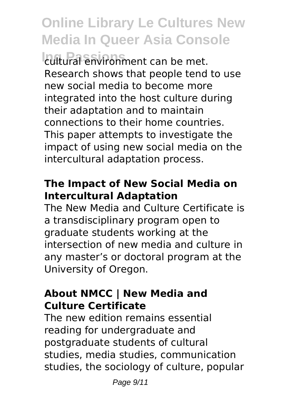**Ing Passions** cultural environment can be met. Research shows that people tend to use new social media to become more integrated into the host culture during their adaptation and to maintain connections to their home countries. This paper attempts to investigate the impact of using new social media on the intercultural adaptation process.

### **The Impact of New Social Media on Intercultural Adaptation**

The New Media and Culture Certificate is a transdisciplinary program open to graduate students working at the intersection of new media and culture in any master's or doctoral program at the University of Oregon.

#### **About NMCC | New Media and Culture Certificate**

The new edition remains essential reading for undergraduate and postgraduate students of cultural studies, media studies, communication studies, the sociology of culture, popular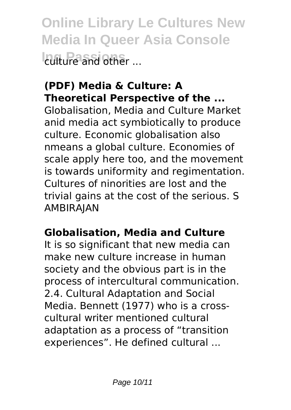**Online Library Le Cultures New Media In Queer Asia Console Ing Passions** culture and other ...

### **(PDF) Media & Culture: A Theoretical Perspective of the ...**

Globalisation, Media and Culture Market anid media act symbiotically to produce culture. Economic globalisation also nmeans a global culture. Economies of scale apply here too, and the movement is towards uniformity and regimentation. Cultures of ninorities are lost and the trivial gains at the cost of the serious. S AMBIRAJAN

### **Globalisation, Media and Culture**

It is so significant that new media can make new culture increase in human society and the obvious part is in the process of intercultural communication. 2.4. Cultural Adaptation and Social Media. Bennett (1977) who is a crosscultural writer mentioned cultural adaptation as a process of "transition experiences". He defined cultural ...